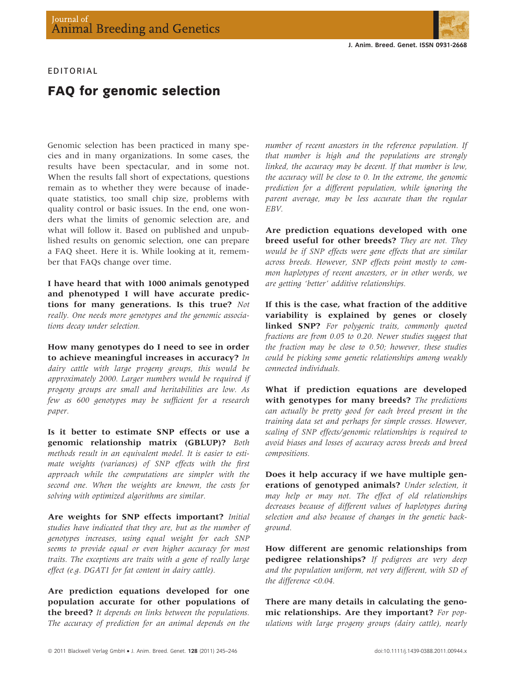## Journal of Animal Breeding and Genetics



## EDITORIAL

## FAQ for genomic selection

Genomic selection has been practiced in many species and in many organizations. In some cases, the results have been spectacular, and in some not. When the results fall short of expectations, questions remain as to whether they were because of inadequate statistics, too small chip size, problems with quality control or basic issues. In the end, one wonders what the limits of genomic selection are, and what will follow it. Based on published and unpublished results on genomic selection, one can prepare a FAQ sheet. Here it is. While looking at it, remember that FAQs change over time.

I have heard that with 1000 animals genotyped and phenotyped I will have accurate predictions for many generations. Is this true? Not really. One needs more genotypes and the genomic associations decay under selection.

How many genotypes do I need to see in order to achieve meaningful increases in accuracy? In dairy cattle with large progeny groups, this would be approximately 2000. Larger numbers would be required if progeny groups are small and heritabilities are low. As few as 600 genotypes may be sufficient for a research paper.

Is it better to estimate SNP effects or use a genomic relationship matrix (GBLUP)? Both methods result in an equivalent model. It is easier to estimate weights (variances) of SNP effects with the first approach while the computations are simpler with the second one. When the weights are known, the costs for solving with optimized algorithms are similar.

Are weights for SNP effects important? Initial studies have indicated that they are, but as the number of genotypes increases, using equal weight for each SNP seems to provide equal or even higher accuracy for most traits. The exceptions are traits with a gene of really large effect (e.g. DGAT1 for fat content in dairy cattle).

Are prediction equations developed for one population accurate for other populations of the breed? It depends on links between the populations. The accuracy of prediction for an animal depends on the number of recent ancestors in the reference population. If that number is high and the populations are strongly linked, the accuracy may be decent. If that number is low, the accuracy will be close to 0. In the extreme, the genomic prediction for a different population, while ignoring the parent average, may be less accurate than the regular EBV.

Are prediction equations developed with one breed useful for other breeds? They are not. They would be if SNP effects were gene effects that are similar across breeds. However, SNP effects point mostly to common haplotypes of recent ancestors, or in other words, we are getting 'better' additive relationships.

If this is the case, what fraction of the additive variability is explained by genes or closely linked SNP? For polygenic traits, commonly quoted fractions are from 0.05 to 0.20. Newer studies suggest that the fraction may be close to 0.50; however, these studies could be picking some genetic relationships among weakly connected individuals.

What if prediction equations are developed with genotypes for many breeds? The predictions can actually be pretty good for each breed present in the training data set and perhaps for simple crosses. However, scaling of SNP effects⁄ genomic relationships is required to avoid biases and losses of accuracy across breeds and breed compositions.

Does it help accuracy if we have multiple generations of genotyped animals? Under selection, it may help or may not. The effect of old relationships decreases because of different values of haplotypes during selection and also because of changes in the genetic background.

How different are genomic relationships from pedigree relationships? If pedigrees are very deep and the population uniform, not very different, with SD of the difference <0.04.

There are many details in calculating the genomic relationships. Are they important? For populations with large progeny groups (dairy cattle), nearly